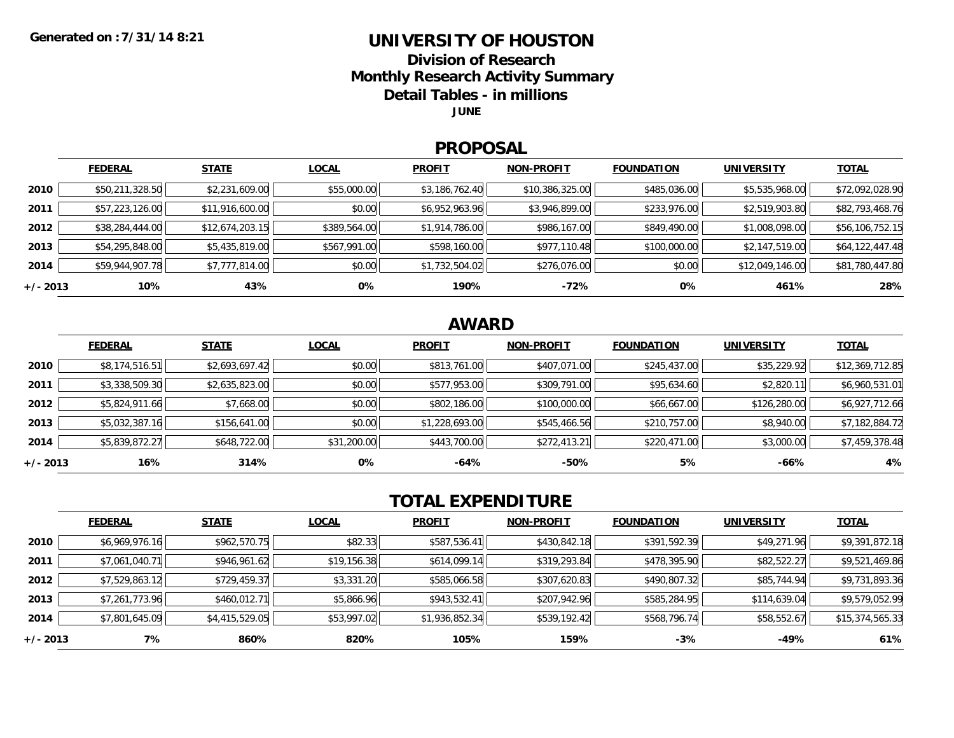### **UNIVERSITY OF HOUSTON**

**Division of Research**

**Monthly Research Activity Summary**

**Detail Tables - in millions**

**JUNE**

#### **PROPOSAL**

|            | <b>FEDERAL</b>  | <b>STATE</b>    | <b>LOCAL</b> | <b>PROFIT</b>  | <b>NON-PROFIT</b> | <b>FOUNDATION</b> | <b>UNIVERSITY</b> | <b>TOTAL</b>    |
|------------|-----------------|-----------------|--------------|----------------|-------------------|-------------------|-------------------|-----------------|
| 2010       | \$50,211,328.50 | \$2,231,609.00  | \$55,000.00  | \$3,186,762.40 | \$10,386,325.00   | \$485,036.00      | \$5,535,968.00    | \$72,092,028.90 |
| 2011       | \$57,223,126.00 | \$11,916,600.00 | \$0.00       | \$6,952,963.96 | \$3,946,899.00    | \$233,976.00      | \$2,519,903.80    | \$82,793,468.76 |
| 2012       | \$38,284,444.00 | \$12,674,203.15 | \$389,564.00 | \$1,914,786.00 | \$986,167.00      | \$849,490.00      | \$1,008,098.00    | \$56,106,752.15 |
| 2013       | \$54,295,848.00 | \$5,435,819.00  | \$567,991.00 | \$598,160.00   | \$977,110.48      | \$100,000.00      | \$2,147,519.00    | \$64,122,447.48 |
| 2014       | \$59,944,907.78 | \$7,777,814.00  | \$0.00       | \$1,732,504.02 | \$276,076.00      | \$0.00            | \$12,049,146.00   | \$81,780,447.80 |
| $+/- 2013$ | 10%             | 43%             | 0%           | 190%           | $-72%$            | 0%                | 461%              | 28%             |

## **AWARD**

|            | <b>FEDERAL</b> | <b>STATE</b>   | <b>LOCAL</b> | <b>PROFIT</b>  | <b>NON-PROFIT</b> | <b>FOUNDATION</b> | <b>UNIVERSITY</b> | <b>TOTAL</b>    |
|------------|----------------|----------------|--------------|----------------|-------------------|-------------------|-------------------|-----------------|
| 2010       | \$8,174,516.51 | \$2,693,697.42 | \$0.00       | \$813,761.00   | \$407,071.00      | \$245,437.00      | \$35,229.92       | \$12,369,712.85 |
| 2011       | \$3,338,509.30 | \$2,635,823.00 | \$0.00       | \$577,953.00   | \$309,791.00      | \$95,634.60       | \$2,820.11        | \$6,960,531.01  |
| 2012       | \$5,824,911.66 | \$7,668.00     | \$0.00       | \$802,186.00   | \$100,000.00      | \$66,667.00       | \$126,280.00      | \$6,927,712.66  |
| 2013       | \$5,032,387.16 | \$156,641.00   | \$0.00       | \$1,228,693.00 | \$545,466.56      | \$210,757.00      | \$8,940.00        | \$7,182,884.72  |
| 2014       | \$5,839,872.27 | \$648,722.00   | \$31,200.00  | \$443,700.00   | \$272,413.21      | \$220,471.00      | \$3,000.00        | \$7,459,378.48  |
| $+/- 2013$ | 16%            | 314%           | 0%           | $-64%$         | -50%              | 5%                | $-66%$            | 4%              |

# **TOTAL EXPENDITURE**

|            | <b>FEDERAL</b> | <b>STATE</b>   | <b>LOCAL</b> | <b>PROFIT</b>  | <b>NON-PROFIT</b> | <b>FOUNDATION</b> | <b>UNIVERSITY</b> | <b>TOTAL</b>    |
|------------|----------------|----------------|--------------|----------------|-------------------|-------------------|-------------------|-----------------|
| 2010       | \$6,969,976.16 | \$962,570.75   | \$82.33      | \$587,536.41   | \$430,842.18      | \$391,592.39      | \$49,271.96       | \$9,391,872.18  |
| 2011       | \$7,061,040.71 | \$946,961.62   | \$19,156.38  | \$614,099.14   | \$319,293.84      | \$478,395.90      | \$82,522.27       | \$9,521,469.86  |
| 2012       | \$7,529,863.12 | \$729,459.37   | \$3,331.20   | \$585,066.58   | \$307,620.83      | \$490,807.32      | \$85,744.94       | \$9,731,893.36  |
| 2013       | \$7,261,773.96 | \$460,012.71   | \$5,866.96   | \$943,532.41   | \$207,942.96      | \$585,284.95      | \$114,639.04      | \$9,579,052.99  |
| 2014       | \$7,801,645.09 | \$4,415,529.05 | \$53,997.02  | \$1,936,852.34 | \$539,192.42      | \$568,796.74      | \$58,552.67       | \$15,374,565.33 |
| $+/- 2013$ | 7%             | 860%           | 820%         | 105%           | 159%              | $-3%$             | -49%              | 61%             |